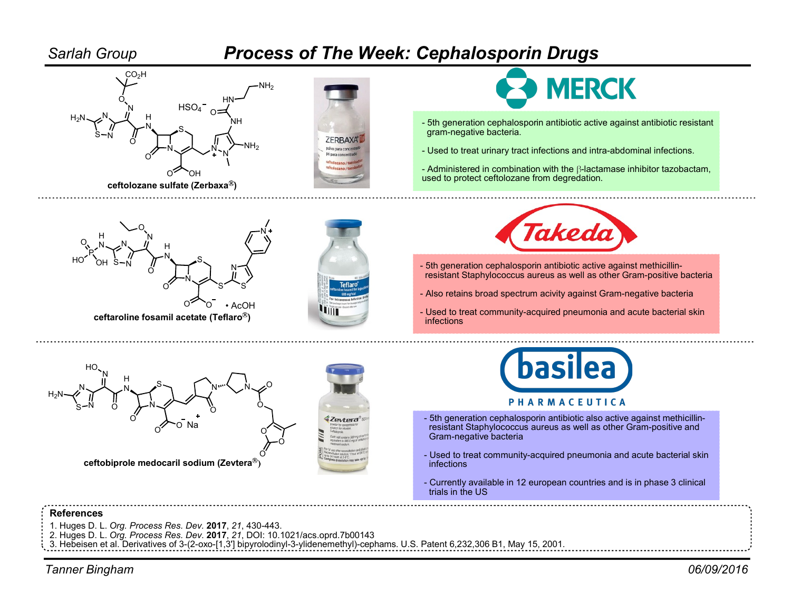

- 1. Huges D. L. Org. Process Res. Dev. 2017, 21, 430-443.
- 2. Huges D. L. Org. Process Res. Dev. 2017, 21, DOI: 10.1021/acs.oprd.7b00143

3. Hebeisen et al. Derivatives of 3-(2-oxo-[1,3'] bipyrolodinyl-3-ylidenemethyl)-cephams. U.S. Patent 6,232,306 B1, May 15, 2001.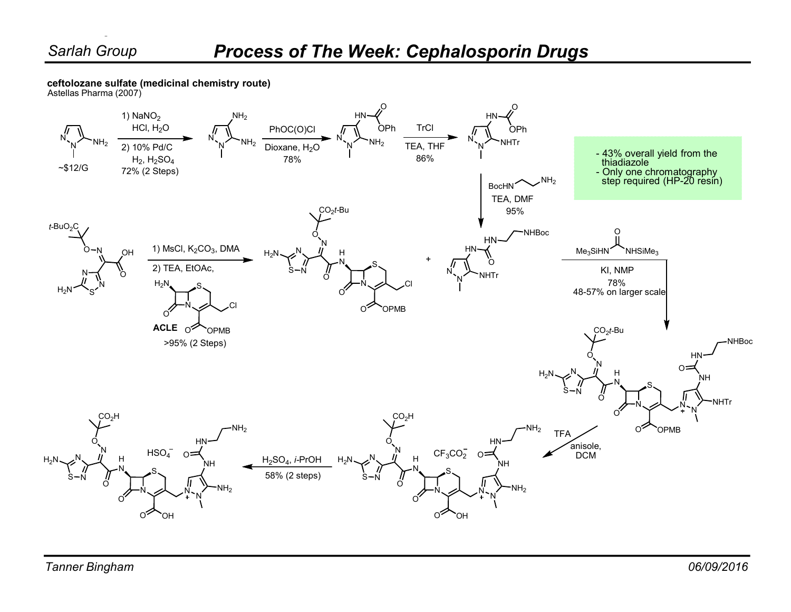Bingham

ceftolozane sulfate (medicinal chemistry route)

Astellas Pharma (2007)

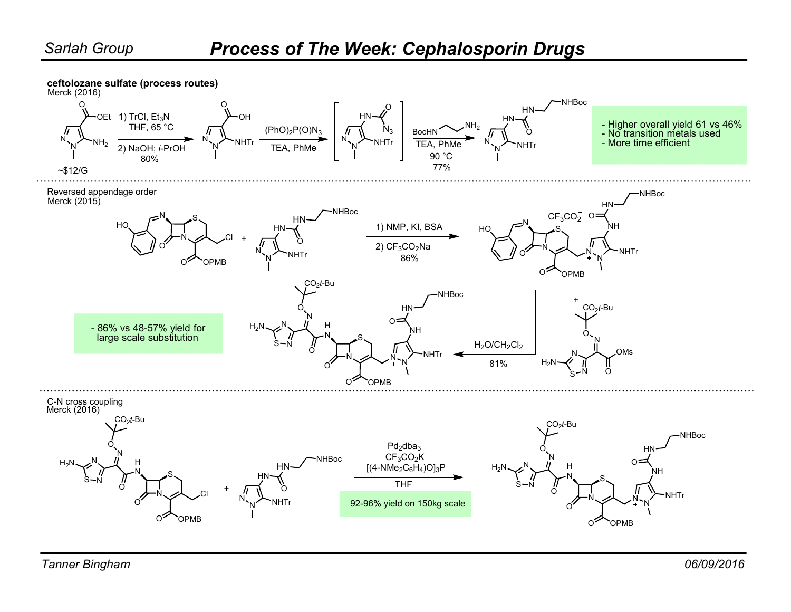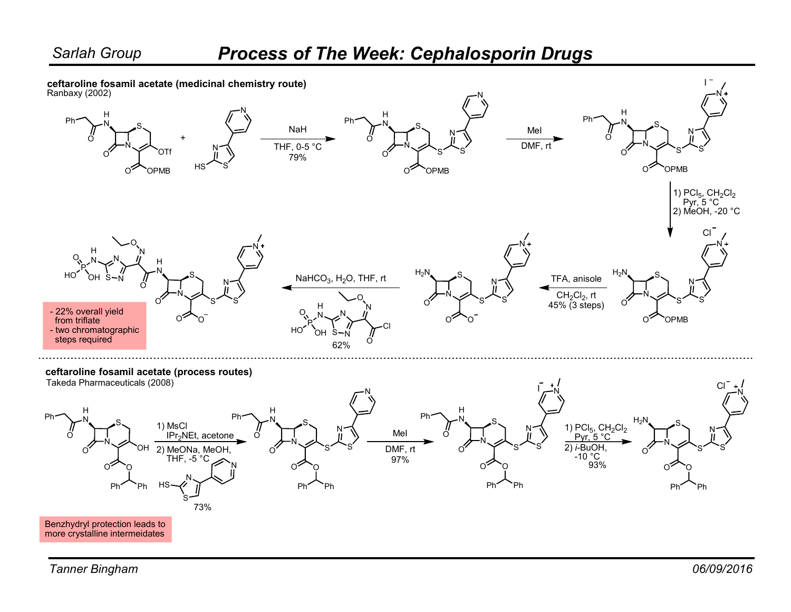## Process of The Week: Cephalosporin Drugs

ceftaroline fosamil acetate (medicinal chemistry route)

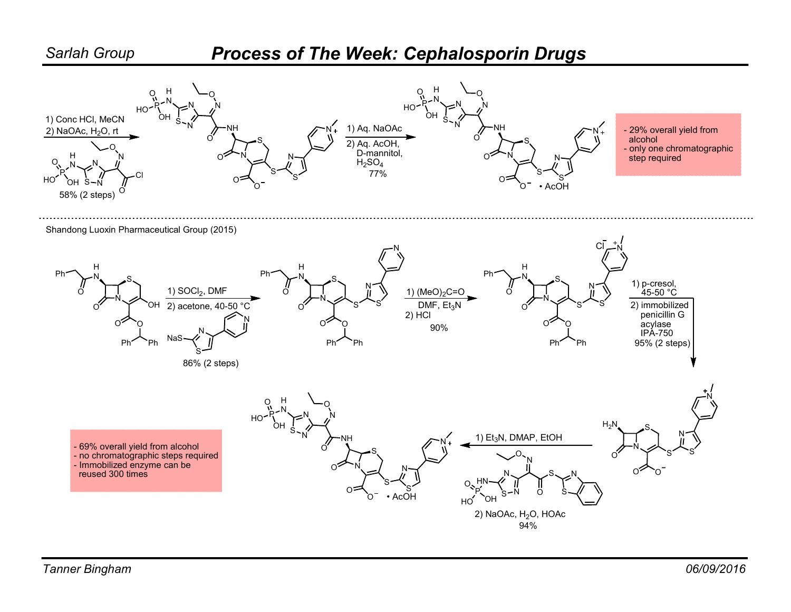## Process of The Week: Cephalosporin Drugs

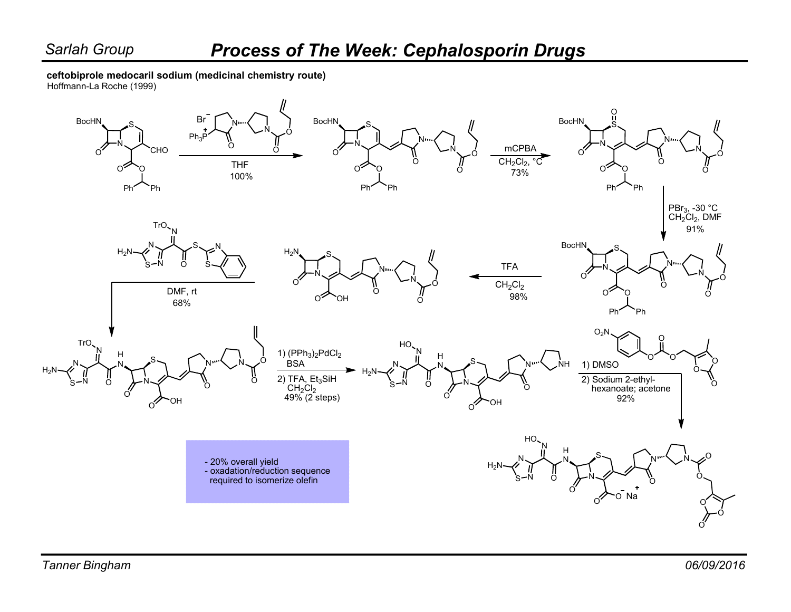ceftobiprole medocaril sodium (medicinal chemistry route)

Hoffmann-La Roche (1999)